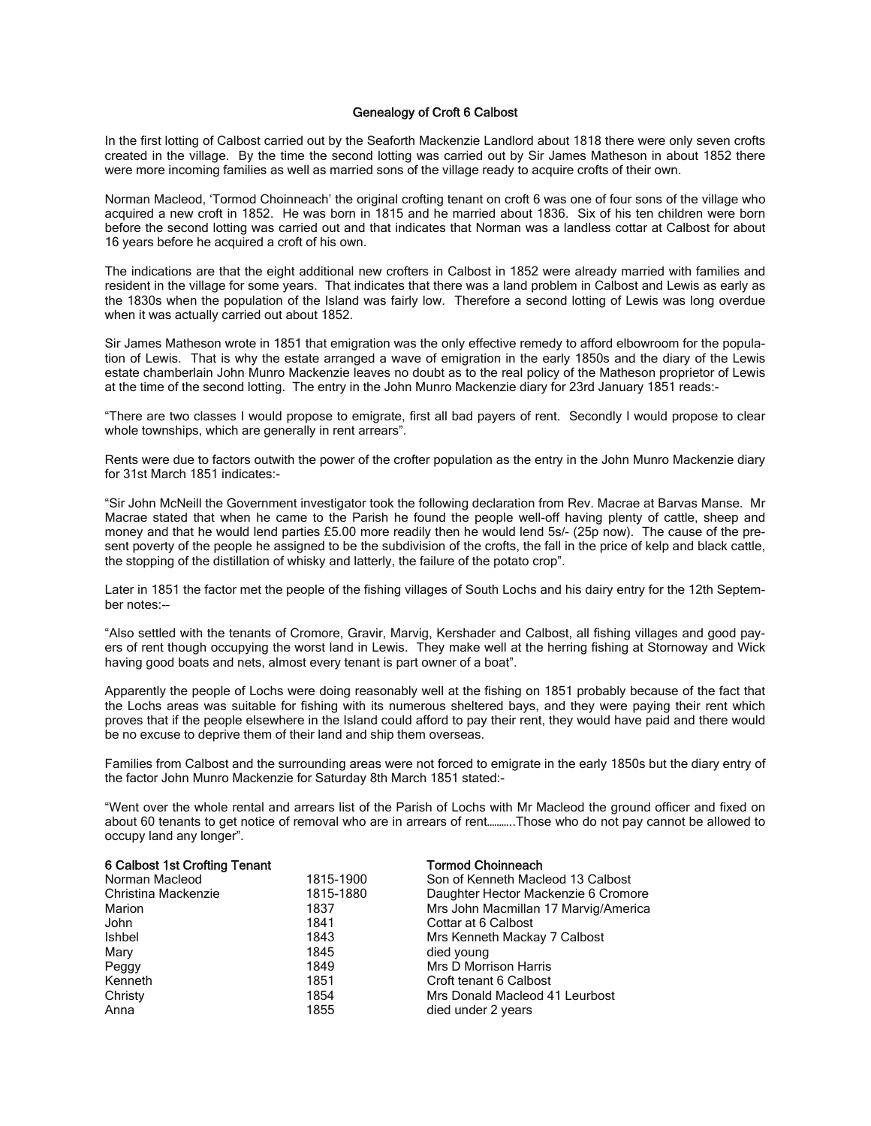## Genealogy of Croft 6 Calbost

In the first lotting of Calbost carried out by the Seaforth Mackenzie Landlord about 1818 there were only seven crofts created in the village. By the time the second lotting was carried out by Sir James Matheson in about 1852 there were more incoming families as well as married sons of the village ready to acquire crofts of their own.

Norman Macleod, 'Tormod Choinneach' the original crofting tenant on croft 6 was one of four sons of the village who acquired a new croft in 1852. He was born in 1815 and he married about 1836. Six of his ten children were born before the second lotting was carried out and that indicates that Norman was a landless cottar at Calbost for about 16 years before he acquired a croft of his own.

The indications are that the eight additional new crofters in Calbost in 1852 were already married with families and resident in the village for some years. That indicates that there was a land problem in Calbost and Lewis as early as the 1830s when the population of the Island was fairly low. Therefore a second lotting of Lewis was long overdue when it was actually carried out about 1852.

Sir James Matheson wrote in 1851 that emigration was the only effective remedy to afford elbowroom for the population of Lewis. That is why the estate arranged a wave of emigration in the early 1850s and the diary of the Lewis estate chamberlain John Munro Mackenzie leaves no doubt as to the real policy of the Matheson proprietor of Lewis at the time of the second lotting. The entry in the John Munro Mackenzie diary for 23rd January 1851 reads:-

"There are two classes I would propose to emigrate, first all bad payers of rent. Secondly I would propose to clear whole townships, which are generally in rent arrears".

Rents were due to factors outwith the power of the crofter population as the entry in the John Munro Mackenzie diary for 31st March 1851 indicates:-

"Sir John McNeill the Government investigator took the following declaration from Rev. Macrae at Barvas Manse. Mr Macrae stated that when he came to the Parish he found the people well-off having plenty of cattle, sheep and money and that he would lend parties £5.00 more readily then he would lend 5s/- (25p now). The cause of the present poverty of the people he assigned to be the subdivision of the crofts, the fall in the price of kelp and black cattle, the stopping of the distillation of whisky and latterly, the failure of the potato crop".

Later in 1851 the factor met the people of the fishing villages of South Lochs and his dairy entry for the 12th September notes:-–

"Also settled with the tenants of Cromore, Gravir, Marvig, Kershader and Calbost, all fishing villages and good payers of rent though occupying the worst land in Lewis. They make well at the herring fishing at Stornoway and Wick having good boats and nets, almost every tenant is part owner of a boat".

Apparently the people of Lochs were doing reasonably well at the fishing on 1851 probably because of the fact that the Lochs areas was suitable for fishing with its numerous sheltered bays, and they were paying their rent which proves that if the people elsewhere in the Island could afford to pay their rent, they would have paid and there would be no excuse to deprive them of their land and ship them overseas.

Families from Calbost and the surrounding areas were not forced to emigrate in the early 1850s but the diary entry of the factor John Munro Mackenzie for Saturday 8th March 1851 stated:-

"Went over the whole rental and arrears list of the Parish of Lochs with Mr Macleod the ground officer and fixed on about 60 tenants to get notice of removal who are in arrears of rent………..Those who do not pay cannot be allowed to occupy land any longer".

| 6 Calbost 1st Crofting Tenant |           | <b>Tormod Choinneach</b>             |
|-------------------------------|-----------|--------------------------------------|
| Norman Macleod                | 1815-1900 | Son of Kenneth Macleod 13 Calbost    |
| Christina Mackenzie           | 1815-1880 | Daughter Hector Mackenzie 6 Cromore  |
| Marion                        | 1837      | Mrs John Macmillan 17 Marvig/America |
| John                          | 1841      | Cottar at 6 Calbost                  |
| Ishbel                        | 1843      | Mrs Kenneth Mackay 7 Calbost         |
| Mary                          | 1845      | died young                           |
| Peggy                         | 1849      | Mrs D Morrison Harris                |
| Kenneth                       | 1851      | Croft tenant 6 Calbost               |
| Christy                       | 1854      | Mrs Donald Macleod 41 Leurbost       |
| Anna                          | 1855      | died under 2 years                   |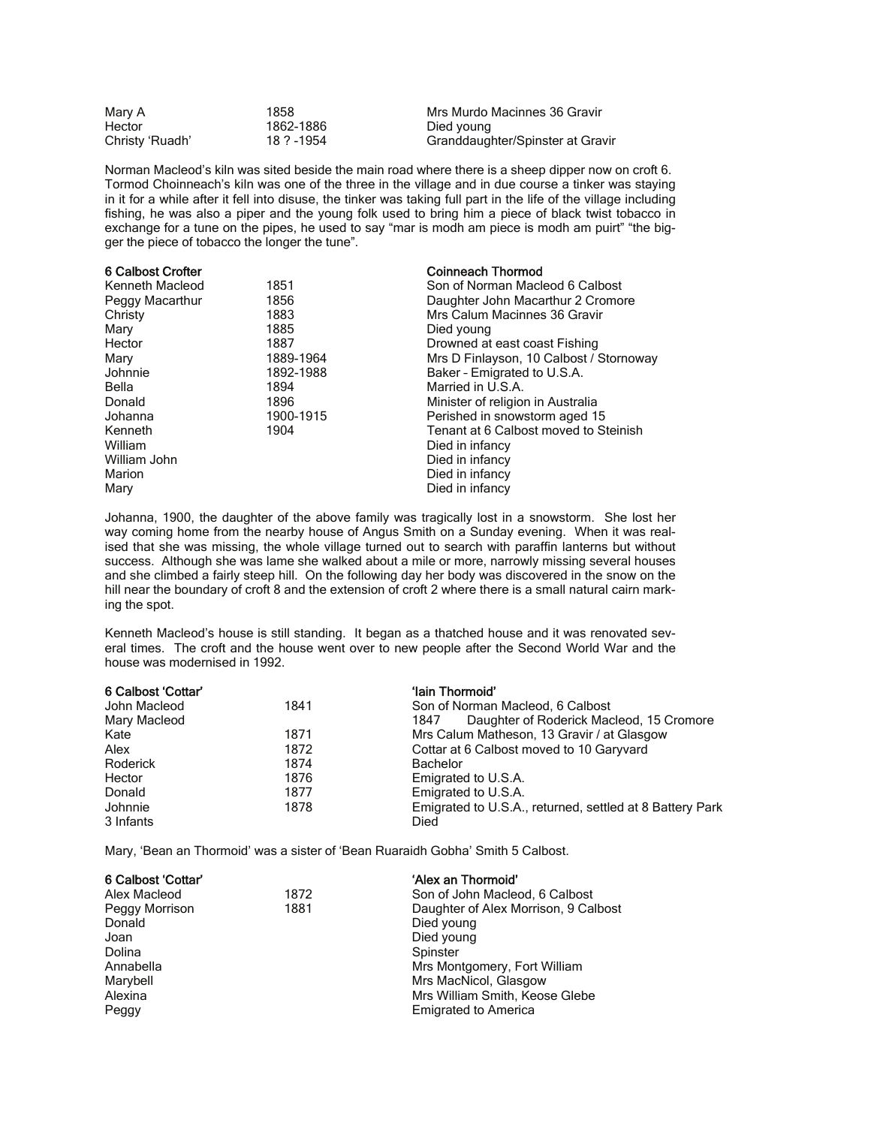| Mary A          | 1858       | Mrs Murdo Macinnes 36 Gravir     |
|-----------------|------------|----------------------------------|
| Hector          | 1862-1886  | Died voung                       |
| Christy 'Ruadh' | 18 ? -1954 | Granddaughter/Spinster at Gravir |

Norman Macleod's kiln was sited beside the main road where there is a sheep dipper now on croft 6. Tormod Choinneach's kiln was one of the three in the village and in due course a tinker was staying in it for a while after it fell into disuse, the tinker was taking full part in the life of the village including fishing, he was also a piper and the young folk used to bring him a piece of black twist tobacco in exchange for a tune on the pipes, he used to say "mar is modh am piece is modh am puirt" "the bigger the piece of tobacco the longer the tune".

| 6 Calbost Crofter |           | <b>Coinneach Thormod</b>                |
|-------------------|-----------|-----------------------------------------|
| Kenneth Macleod   | 1851      | Son of Norman Macleod 6 Calbost         |
| Peggy Macarthur   | 1856      | Daughter John Macarthur 2 Cromore       |
| Christy           | 1883      | Mrs Calum Macinnes 36 Gravir            |
| Mary              | 1885      | Died young                              |
| Hector            | 1887      | Drowned at east coast Fishing           |
| Mary              | 1889-1964 | Mrs D Finlayson, 10 Calbost / Stornoway |
| Johnnie           | 1892-1988 | Baker - Emigrated to U.S.A.             |
| Bella             | 1894      | Married in U.S.A.                       |
| Donald            | 1896      | Minister of religion in Australia       |
| Johanna           | 1900-1915 | Perished in snowstorm aged 15           |
| Kenneth           | 1904      | Tenant at 6 Calbost moved to Steinish   |
| William           |           | Died in infancy                         |
| William John      |           | Died in infancy                         |
| Marion            |           | Died in infancy                         |
| Mary              |           | Died in infancy                         |

Johanna, 1900, the daughter of the above family was tragically lost in a snowstorm. She lost her way coming home from the nearby house of Angus Smith on a Sunday evening. When it was realised that she was missing, the whole village turned out to search with paraffin lanterns but without success. Although she was lame she walked about a mile or more, narrowly missing several houses and she climbed a fairly steep hill. On the following day her body was discovered in the snow on the hill near the boundary of croft 8 and the extension of croft 2 where there is a small natural cairn marking the spot.

Kenneth Macleod's house is still standing. It began as a thatched house and it was renovated several times. The croft and the house went over to new people after the Second World War and the house was modernised in 1992.

| 6 Calbost 'Cottar' |      | 'lain Thormoid'                                          |
|--------------------|------|----------------------------------------------------------|
| John Macleod       | 1841 | Son of Norman Macleod, 6 Calbost                         |
| Mary Macleod       |      | Daughter of Roderick Macleod, 15 Cromore<br>1847         |
| Kate               | 1871 | Mrs Calum Matheson, 13 Gravir / at Glasgow               |
| Alex               | 1872 | Cottar at 6 Calbost moved to 10 Garyvard                 |
| Roderick           | 1874 | <b>Bachelor</b>                                          |
| Hector             | 1876 | Emigrated to U.S.A.                                      |
| Donald             | 1877 | Emigrated to U.S.A.                                      |
| Johnnie            | 1878 | Emigrated to U.S.A., returned, settled at 8 Battery Park |
| 3 Infants          |      | Died                                                     |

Mary, 'Bean an Thormoid' was a sister of 'Bean Ruaraidh Gobha' Smith 5 Calbost.

| 6 Calbost 'Cottar' |      | 'Alex an Thormoid'                   |
|--------------------|------|--------------------------------------|
| Alex Macleod       | 1872 | Son of John Macleod, 6 Calbost       |
| Peggy Morrison     | 1881 | Daughter of Alex Morrison, 9 Calbost |
| Donald             |      | Died young                           |
| Joan               |      | Died young                           |
| Dolina             |      | Spinster                             |
| Annabella          |      | Mrs Montgomery, Fort William         |
| Marybell           |      | Mrs MacNicol, Glasgow                |
| Alexina            |      | Mrs William Smith, Keose Glebe       |
| Peggy              |      | <b>Emigrated to America</b>          |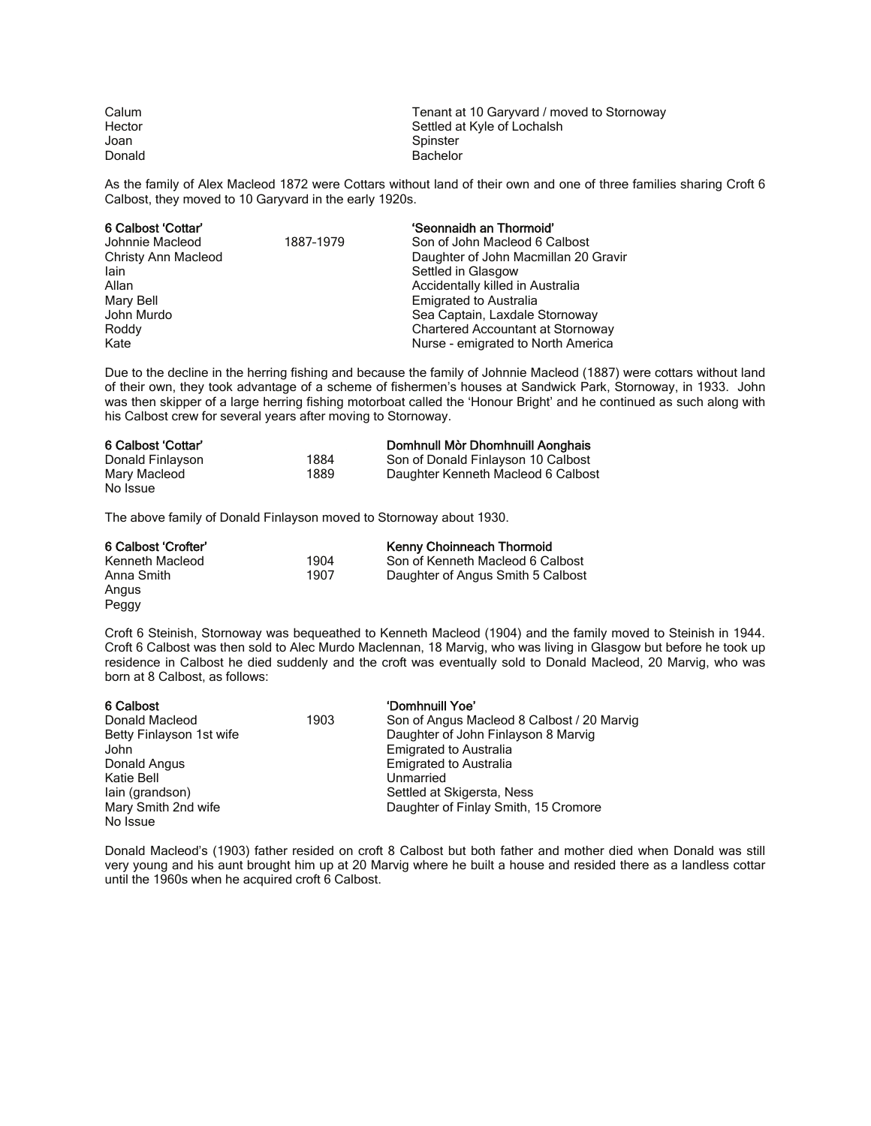| Calum  | Tenant at 10 Garyvard / moved to Stornoway |
|--------|--------------------------------------------|
| Hector | Settled at Kyle of Lochalsh                |
| Joan   | Spinster                                   |
| Donald | Bachelor                                   |

As the family of Alex Macleod 1872 were Cottars without land of their own and one of three families sharing Croft 6 Calbost, they moved to 10 Garyvard in the early 1920s.

| 6 Calbost 'Cottar'  |           | 'Seonnaidh an Thormoid'              |
|---------------------|-----------|--------------------------------------|
| Johnnie Macleod     | 1887-1979 | Son of John Macleod 6 Calbost        |
| Christy Ann Macleod |           | Daughter of John Macmillan 20 Gravir |
| lain                |           | Settled in Glasgow                   |
| Allan               |           | Accidentally killed in Australia     |
| Mary Bell           |           | <b>Emigrated to Australia</b>        |
| John Murdo          |           | Sea Captain, Laxdale Stornoway       |
| Roddy               |           | Chartered Accountant at Stornoway    |
| Kate                |           | Nurse - emigrated to North America   |

Due to the decline in the herring fishing and because the family of Johnnie Macleod (1887) were cottars without land of their own, they took advantage of a scheme of fishermen's houses at Sandwick Park, Stornoway, in 1933. John was then skipper of a large herring fishing motorboat called the 'Honour Bright' and he continued as such along with his Calbost crew for several years after moving to Stornoway.

| 6 Calbost 'Cottar' |      | Domhnull Mòr Dhomhnuill Aonghais   |
|--------------------|------|------------------------------------|
| Donald Finlayson   | 1884 | Son of Donald Finlayson 10 Calbost |
| Mary Macleod       | 1889 | Daughter Kenneth Macleod 6 Calbost |
| No Issue           |      |                                    |

The above family of Donald Finlayson moved to Stornoway about 1930.

| 6 Calbost 'Crofter' |      | <b>Kenny Choinneach Thormoid</b>  |
|---------------------|------|-----------------------------------|
| Kenneth Macleod     | 1904 | Son of Kenneth Macleod 6 Calbost  |
| Anna Smith          | 1907 | Daughter of Angus Smith 5 Calbost |
| Angus               |      |                                   |
| Peggy               |      |                                   |

Croft 6 Steinish, Stornoway was bequeathed to Kenneth Macleod (1904) and the family moved to Steinish in 1944. Croft 6 Calbost was then sold to Alec Murdo Maclennan, 18 Marvig, who was living in Glasgow but before he took up residence in Calbost he died suddenly and the croft was eventually sold to Donald Macleod, 20 Marvig, who was born at 8 Calbost, as follows:

| 6 Calbost                |      | 'Domhnuill Yoe'                            |
|--------------------------|------|--------------------------------------------|
| Donald Macleod           | 1903 | Son of Angus Macleod 8 Calbost / 20 Marvig |
| Betty Finlayson 1st wife |      | Daughter of John Finlayson 8 Marvig        |
| John                     |      | <b>Emigrated to Australia</b>              |
| Donald Angus             |      | <b>Emigrated to Australia</b>              |
| Katie Bell               |      | Unmarried                                  |
| lain (grandson)          |      | Settled at Skigersta, Ness                 |
| Mary Smith 2nd wife      |      | Daughter of Finlay Smith, 15 Cromore       |
| No Issue                 |      |                                            |

Donald Macleod's (1903) father resided on croft 8 Calbost but both father and mother died when Donald was still very young and his aunt brought him up at 20 Marvig where he built a house and resided there as a landless cottar until the 1960s when he acquired croft 6 Calbost.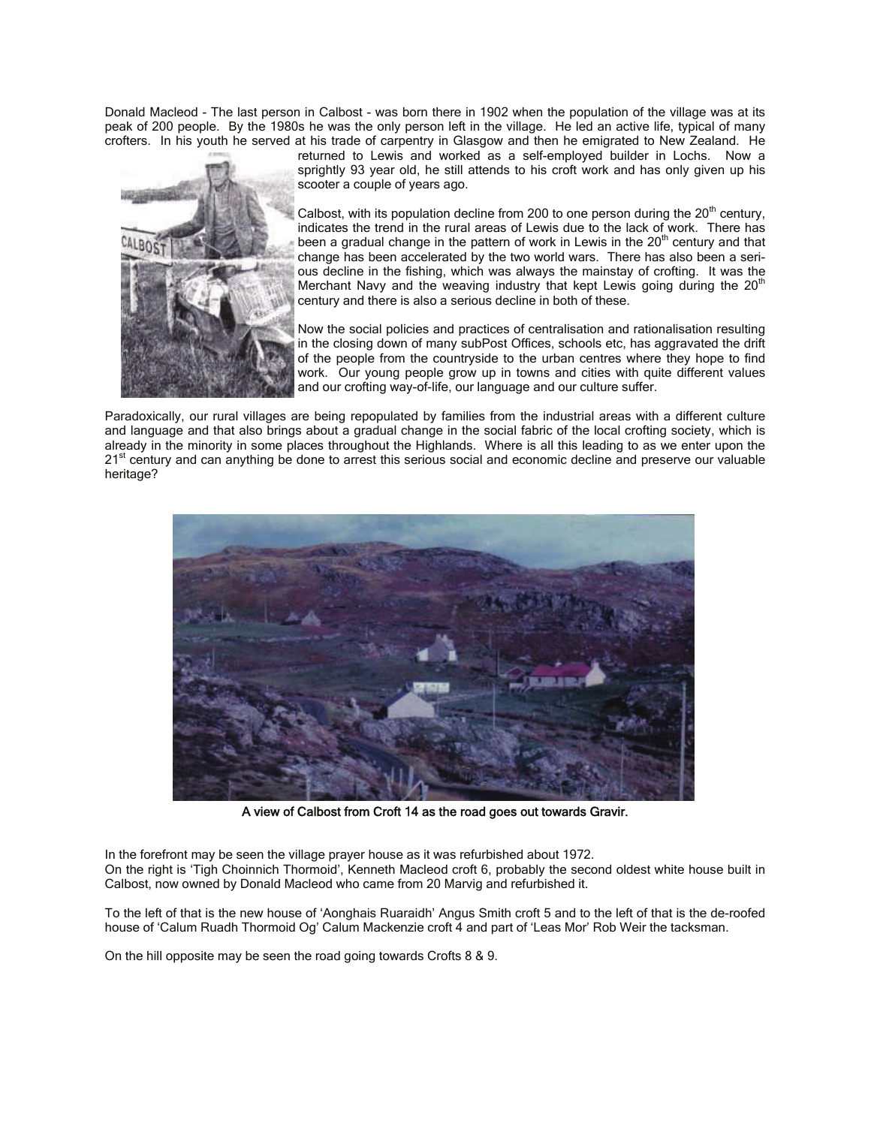Donald Macleod - The last person in Calbost - was born there in 1902 when the population of the village was at its peak of 200 people. By the 1980s he was the only person left in the village. He led an active life, typical of many crofters. In his youth he served at his trade of carpentry in Glasgow and then he emigrated to New Zealand. He



returned to Lewis and worked as a self-employed builder in Lochs. Now a sprightly 93 year old, he still attends to his croft work and has only given up his scooter a couple of years ago.

Calbost, with its population decline from 200 to one person during the  $20<sup>th</sup>$  century, indicates the trend in the rural areas of Lewis due to the lack of work. There has been a gradual change in the pattern of work in Lewis in the 20<sup>th</sup> century and that change has been accelerated by the two world wars. There has also been a serious decline in the fishing, which was always the mainstay of crofting. It was the Merchant Navy and the weaving industry that kept Lewis going during the  $20<sup>th</sup>$ century and there is also a serious decline in both of these.

Now the social policies and practices of centralisation and rationalisation resulting in the closing down of many subPost Offices, schools etc, has aggravated the drift of the people from the countryside to the urban centres where they hope to find work. Our young people grow up in towns and cities with quite different values and our crofting way-of-life, our language and our culture suffer.

Paradoxically, our rural villages are being repopulated by families from the industrial areas with a different culture and language and that also brings about a gradual change in the social fabric of the local crofting society, which is already in the minority in some places throughout the Highlands. Where is all this leading to as we enter upon the 21<sup>st</sup> century and can anything be done to arrest this serious social and economic decline and preserve our valuable heritage?



A view of Calbost from Croft 14 as the road goes out towards Gravir.

In the forefront may be seen the village prayer house as it was refurbished about 1972. On the right is 'Tigh Choinnich Thormoid', Kenneth Macleod croft 6, probably the second oldest white house built in Calbost, now owned by Donald Macleod who came from 20 Marvig and refurbished it.

To the left of that is the new house of 'Aonghais Ruaraidh' Angus Smith croft 5 and to the left of that is the de-roofed house of 'Calum Ruadh Thormoid Og' Calum Mackenzie croft 4 and part of 'Leas Mor' Rob Weir the tacksman.

On the hill opposite may be seen the road going towards Crofts 8 & 9.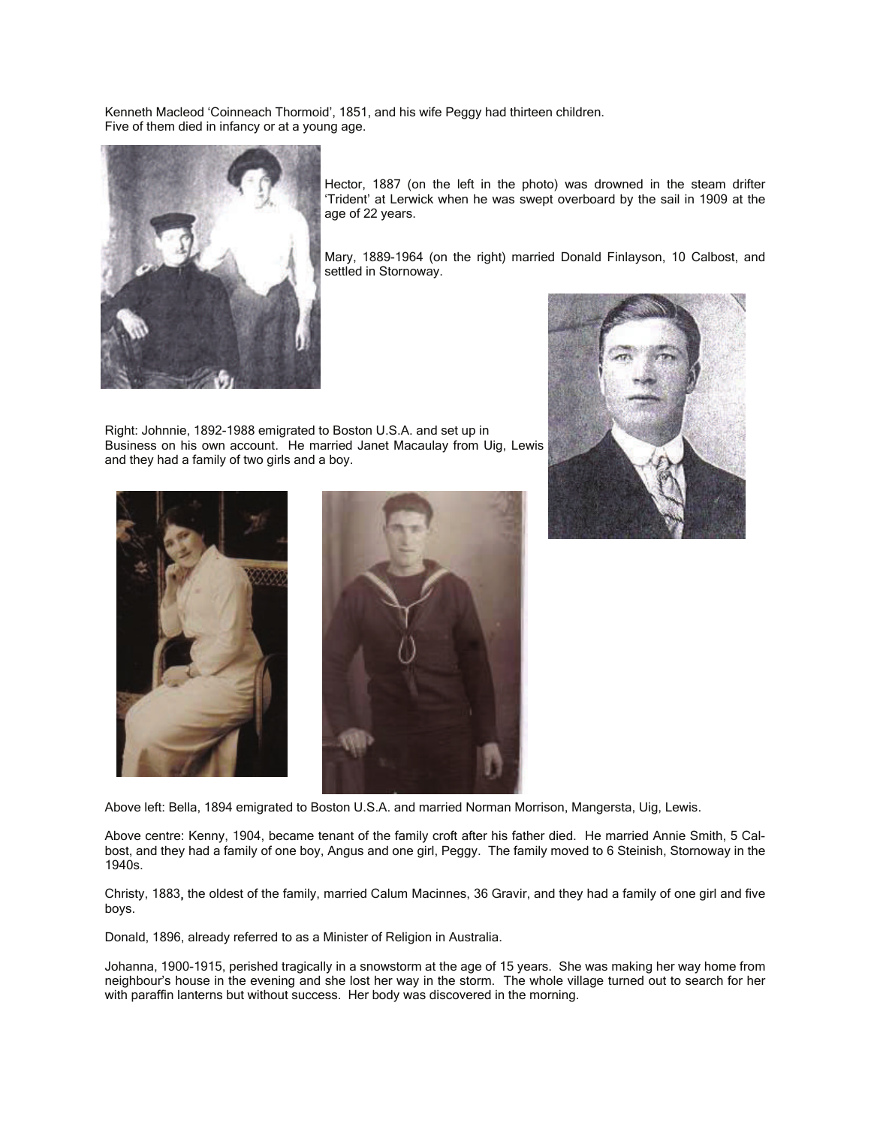Kenneth Macleod 'Coinneach Thormoid', 1851, and his wife Peggy had thirteen children. Five of them died in infancy or at a young age.



Hector, 1887 (on the left in the photo) was drowned in the steam drifter 'Trident' at Lerwick when he was swept overboard by the sail in 1909 at the age of 22 years.

Mary, 1889-1964 (on the right) married Donald Finlayson, 10 Calbost, and settled in Stornoway.

Right: Johnnie, 1892-1988 emigrated to Boston U.S.A. and set up in Business on his own account. He married Janet Macaulay from Uig, Lewis and they had a family of two girls and a boy.







Above centre: Kenny, 1904, became tenant of the family croft after his father died. He married Annie Smith, 5 Calbost, and they had a family of one boy, Angus and one girl, Peggy. The family moved to 6 Steinish, Stornoway in the 1940s.

Christy, 1883, the oldest of the family, married Calum Macinnes, 36 Gravir, and they had a family of one girl and five boys.

Donald, 1896, already referred to as a Minister of Religion in Australia.

Johanna, 1900-1915, perished tragically in a snowstorm at the age of 15 years. She was making her way home from neighbour's house in the evening and she lost her way in the storm. The whole village turned out to search for her with paraffin lanterns but without success. Her body was discovered in the morning.